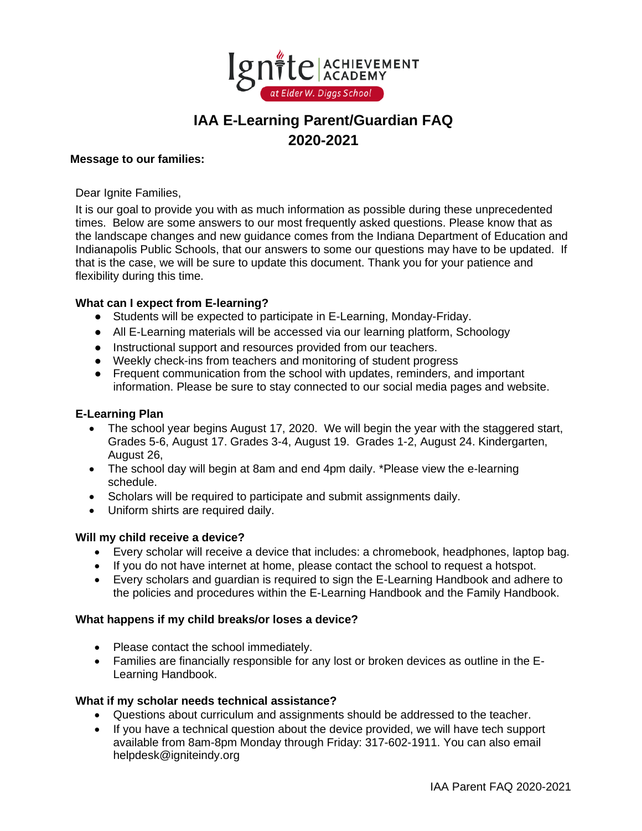

# **IAA E-Learning Parent/Guardian FAQ 2020-2021**

#### **Message to our families:**

Dear Ignite Families,

It is our goal to provide you with as much information as possible during these unprecedented times. Below are some answers to our most frequently asked questions. Please know that as the landscape changes and new guidance comes from the Indiana Department of Education and Indianapolis Public Schools, that our answers to some our questions may have to be updated. If that is the case, we will be sure to update this document. Thank you for your patience and flexibility during this time.

# **What can I expect from E-learning?**

- Students will be expected to participate in E-Learning, Monday-Friday.
- All E-Learning materials will be accessed via our learning platform, Schoology
- Instructional support and resources provided from our teachers.
- Weekly check-ins from teachers and monitoring of student progress
- Frequent communication from the school with updates, reminders, and important information. Please be sure to stay connected to our social media pages and website.

# **E-Learning Plan**

- The school year begins August 17, 2020. We will begin the year with the staggered start, Grades 5-6, August 17. Grades 3-4, August 19. Grades 1-2, August 24. Kindergarten, August 26,
- The school day will begin at 8am and end 4pm daily. \*Please view the e-learning schedule.
- Scholars will be required to participate and submit assignments daily.
- Uniform shirts are required daily.

# **Will my child receive a device?**

- Every scholar will receive a device that includes: a chromebook, headphones, laptop bag.
- If you do not have internet at home, please contact the school to request a hotspot.
- Every scholars and guardian is required to sign the E-Learning Handbook and adhere to the policies and procedures within the E-Learning Handbook and the Family Handbook.

# **What happens if my child breaks/or loses a device?**

- Please contact the school immediately.
- Families are financially responsible for any lost or broken devices as outline in the E-Learning Handbook.

# **What if my scholar needs technical assistance?**

- Questions about curriculum and assignments should be addressed to the teacher.
- If you have a technical question about the device provided, we will have tech support available from 8am-8pm Monday through Friday: 317-602-1911. You can also email helpdesk@igniteindy.org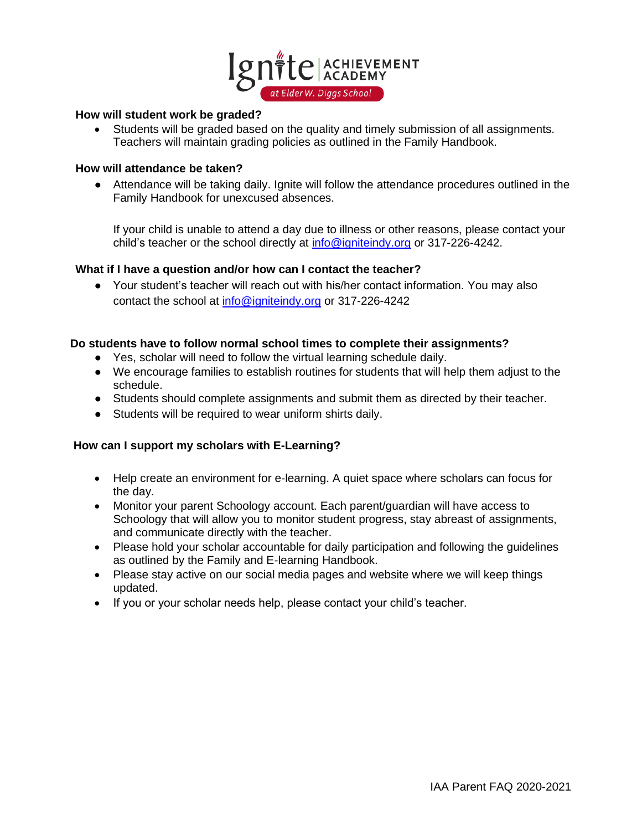

### **How will student work be graded?**

• Students will be graded based on the quality and timely submission of all assignments. Teachers will maintain grading policies as outlined in the Family Handbook.

#### **How will attendance be taken?**

● Attendance will be taking daily. Ignite will follow the attendance procedures outlined in the Family Handbook for unexcused absences.

If your child is unable to attend a day due to illness or other reasons, please contact your child's teacher or the school directly at **info@igniteindy.org** or 317-226-4242.

#### **What if I have a question and/or how can I contact the teacher?**

• Your student's teacher will reach out with his/her contact information. You may also contact the school at [info@igniteindy.org](mailto:info@igniteindy.org) or 317-226-4242

#### **Do students have to follow normal school times to complete their assignments?**

- Yes, scholar will need to follow the virtual learning schedule daily.
- We encourage families to establish routines for students that will help them adjust to the schedule.
- Students should complete assignments and submit them as directed by their teacher.
- Students will be required to wear uniform shirts daily.

# **How can I support my scholars with E-Learning?**

- Help create an environment for e-learning. A quiet space where scholars can focus for the day.
- Monitor your parent Schoology account. Each parent/guardian will have access to Schoology that will allow you to monitor student progress, stay abreast of assignments, and communicate directly with the teacher.
- Please hold your scholar accountable for daily participation and following the guidelines as outlined by the Family and E-learning Handbook.
- Please stay active on our social media pages and website where we will keep things updated.
- If you or your scholar needs help, please contact your child's teacher.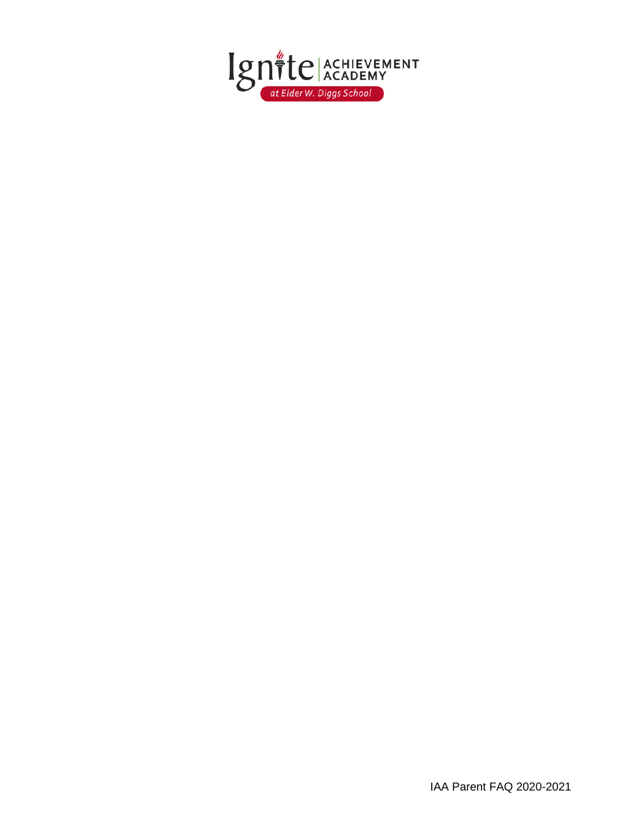